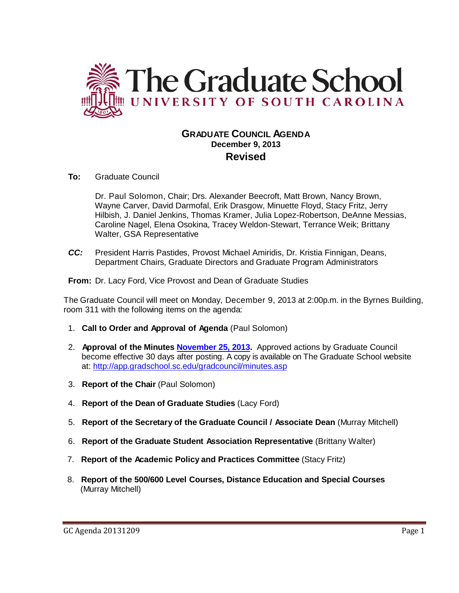

# **GRADUATE COUNCIL AGENDA December 9, 2013 Revised**

**To:** Graduate Council

Dr. Paul Solomon, Chair; Drs. Alexander Beecroft, Matt Brown, Nancy Brown, Wayne Carver, David Darmofal, Erik Drasgow, Minuette Floyd, Stacy Fritz, Jerry Hilbish, J. Daniel Jenkins, Thomas Kramer, Julia Lopez-Robertson, DeAnne Messias, Caroline Nagel, Elena Osokina, Tracey Weldon-Stewart, Terrance Weik; Brittany Walter, GSA Representative

*CC:* President Harris Pastides, Provost Michael Amiridis, Dr. Kristia Finnigan, Deans, Department Chairs, Graduate Directors and Graduate Program Administrators

**From:** Dr. Lacy Ford, Vice Provost and Dean of Graduate Studies

The Graduate Council will meet on Monday, December 9, 2013 at 2:00p.m. in the Byrnes Building, room 311 with the following items on the agenda:

- 1. **Call to Order and Approval of Agenda** (Paul Solomon)
- 2. **Approval of the Minutes November 25, 2013.** Approved actions by Graduate Council become effective 30 days after posting. A copy is available on The Graduate School website at:<http://app.gradschool.sc.edu/gradcouncil/minutes.asp>
- 3. **Report of the Chair** (Paul Solomon)
- 4. **Report of the Dean of Graduate Studies** (Lacy Ford)
- 5. **Report of the Secretary of the Graduate Council / Associate Dean** (Murray Mitchell)
- 6. **Report of the Graduate Student Association Representative** (Brittany Walter)
- 7. **Report of the Academic Policy and Practices Committee** (Stacy Fritz)
- 8. **Report of the 500/600 Level Courses, Distance Education and Special Courses** (Murray Mitchell)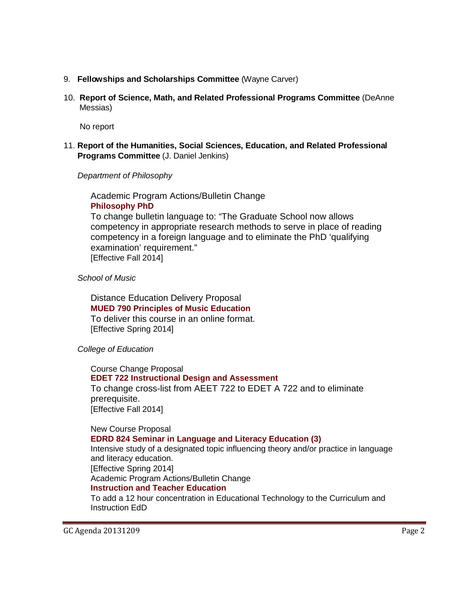- 9. **Fellowships and Scholarships Committee** (Wayne Carver)
- 10. **Report of Science, Math, and Related Professional Programs Committee** (DeAnne Messias)

No report

11. **Report of the Humanities, Social Sciences, Education, and Related Professional Programs Committee** (J. Daniel Jenkins)

*Department of Philosophy*

Academic Program Actions/Bulletin Change **[Philosophy PhD](http://gradschool.sc.edu/facstaff/gradcouncil/2013/Phiosophy%20PhD%20APA-BCH.pdf)**

To change bulletin language to: "The Graduate School now allows competency in appropriate research methods to serve in place of reading competency in a foreign language and to eliminate the PhD 'qualifying examination' requirement." [Effective Fall 2014]

*School of Music*

Distance Education Delivery Proposal **[MUED 790 Principles of Music Education](http://gradschool.sc.edu/facstaff/gradcouncil/2013/MUED%20790%20DED_Redacted.pdf)** To deliver this course in an online format. [Effective Spring 2014]

 *College of Education*

Course Change Proposal **[EDET 722 Instructional Design and Assessment](http://gradschool.sc.edu/facstaff/gradcouncil/2013/EDET%20722_Redacted.pdf)** To change cross-list from AEET 722 to EDET A 722 and to eliminate prerequisite. [Effective Fall 2014]

New Course Proposal **[EDRD 824 Seminar in Language and Literacy Education](http://gradschool.sc.edu/facstaff/gradcouncil/2013/EDRD%20824%20NCP_Redacted.pdf) (3)** Intensive study of a designated topic influencing theory and/or practice in language and literacy education. [Effective Spring 2014] Academic Program Actions/Bulletin Change **[Instruction and Teacher Education](http://gradschool.sc.edu/facstaff/gradcouncil/2013/ITE%20Concentration_Redacted.pdf)** To add a 12 hour concentration in Educational Technology to the Curriculum and Instruction EdD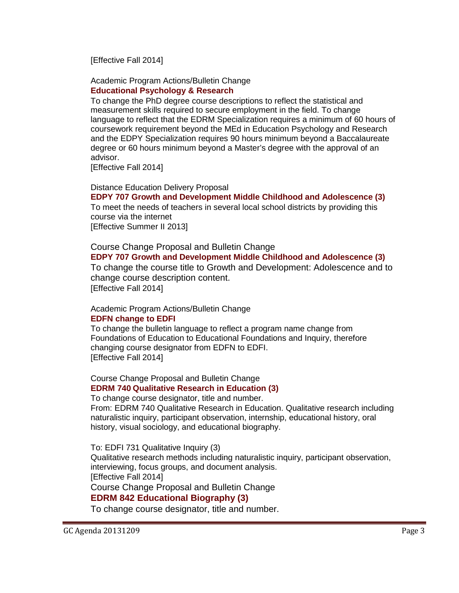[Effective Fall 2014]

#### Academic Program Actions/Bulletin Change **Educational Psychology [& Research](http://gradschool.sc.edu/facstaff/gradcouncil/2013/Ed%20Psyc%20and%20Research%20Bulletin%20Editing%20Redacted.pdf)**

To change the PhD degree course descriptions to reflect the statistical and measurement skills required to secure employment in the field. To change language to reflect that the EDRM Specialization requires a minimum of 60 hours of coursework requirement beyond the MEd in Education Psychology and Research and the EDPY Specialization requires 90 hours minimum beyond a Baccalaureate degree or 60 hours minimum beyond a Master's degree with the approval of an advisor.

[Effective Fall 2014]

#### Distance Education Delivery Proposal

**[EDPY 707 Growth and Development Middle Childhood and Adolescence](http://gradschool.sc.edu/facstaff/gradcouncil/2013/EDPY%20707%20DED_Redacted.pdf) (3)**

To meet the needs of teachers in several local school districts by providing this course via the internet

[Effective Summer II 2013]

Course Change Proposal and Bulletin Change

#### **[EDPY 707 Growth and Development Middle Childhood and Adolescence \(](http://gradschool.sc.edu/facstaff/gradcouncil/2013/EDPY%20707%20CCP%20Redacted.pdf)3)**

To change the course title to Growth and Development: Adolescence and to change course description content. [Effective Fall 2014]

## Academic Program Actions/Bulletin Change

#### **[EDFN change to EDFI](http://gradschool.sc.edu/facstaff/gradcouncil/2013/EDFN%20Foundations%20change%20to%20EDFI%20_Redacted.pdf)**

To change the bulletin language to reflect a program name change from Foundations of Education to Educational Foundations and Inquiry, therefore changing course designator from EDFN to EDFI. [Effective Fall 2014]

Course Change Proposal and Bulletin Change **EDRM 740 [Qualitative Research in Education](http://gradschool.sc.edu/facstaff/gradcouncil/2013/EDRM%20740%20to%20EDFI%20731_Redacted.pdf) (3)**

To change course designator, title and number.

From: EDRM 740 Qualitative Research in Education. Qualitative research including naturalistic inquiry, participant observation, internship, educational history, oral history, visual sociology, and educational biography.

To: EDFI 731 Qualitative Inquiry (3)

Qualitative research methods including naturalistic inquiry, participant observation, interviewing, focus groups, and document analysis. [Effective Fall 2014]

Course Change Proposal and Bulletin Change

# **[EDRM 842 Educational Biography \(3\)](http://gradschool.sc.edu/facstaff/gradcouncil/2013/EDRM%20842%20to%20EDFI%20832_Redacted.pdf)**

To change course designator, title and number.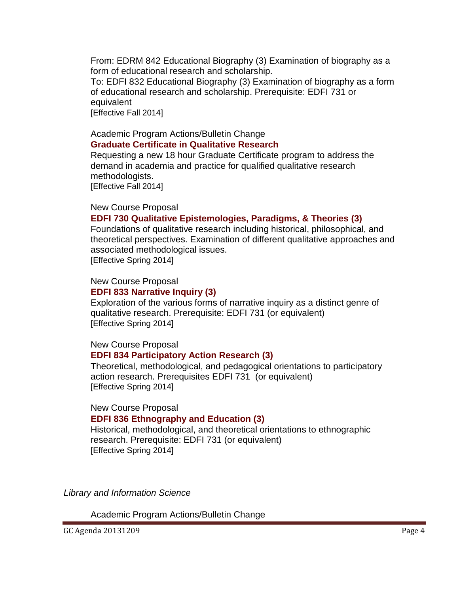From: EDRM 842 Educational Biography (3) Examination of biography as a form of educational research and scholarship.

To: EDFI 832 Educational Biography (3) Examination of biography as a form of educational research and scholarship. Prerequisite: EDFI 731 or equivalent [Effective Fall 2014]

#### Academic Program Actions/Bulletin Change **[Graduate Certificate in Qualitative Research](http://gradschool.sc.edu/facstaff/gradcouncil/2013/Certificate%20in%20Qualitative%20Research_Redacted.pdf)**

Requesting a new 18 hour Graduate Certificate program to address the demand in academia and practice for qualified qualitative research methodologists. [Effective Fall 2014]

## New Course Proposal

# **[EDFI 730 Qualitative Epistemologies, Paradigms, & Theories](http://gradschool.sc.edu/facstaff/gradcouncil/2013/EDFI%20730%20NCP_Redacted.pdf) (3)**

Foundations of qualitative research including historical, philosophical, and theoretical perspectives. Examination of different qualitative approaches and associated methodological issues. [Effective Spring 2014]

## New Course Proposal

# **[EDFI 833 Narrative Inquiry](http://gradschool.sc.edu/facstaff/gradcouncil/2013/EDFI%20833%20NCP_Redacted.pdf) (3)**

Exploration of the various forms of narrative inquiry as a distinct genre of qualitative research. Prerequisite: EDFI 731 (or equivalent) [Effective Spring 2014]

# New Course Proposal

## **[EDFI 834 Participatory Action Research](http://gradschool.sc.edu/facstaff/gradcouncil/2013/EDFI%20834%20NCP_Redacted.pdf) (3)**

Theoretical, methodological, and pedagogical orientations to participatory action research. Prerequisites EDFI 731 (or equivalent) [Effective Spring 2014]

## New Course Proposal

## **[EDFI 836 Ethnography and Education](http://gradschool.sc.edu/facstaff/gradcouncil/2013/EDFI%20836%20NCP_Redacted.pdf) (3)**

Historical, methodological, and theoretical orientations to ethnographic research. Prerequisite: EDFI 731 (or equivalent) [Effective Spring 2014]

*Library and Information Science*

Academic Program Actions/Bulletin Change

GC Agenda 20131209 Page 4